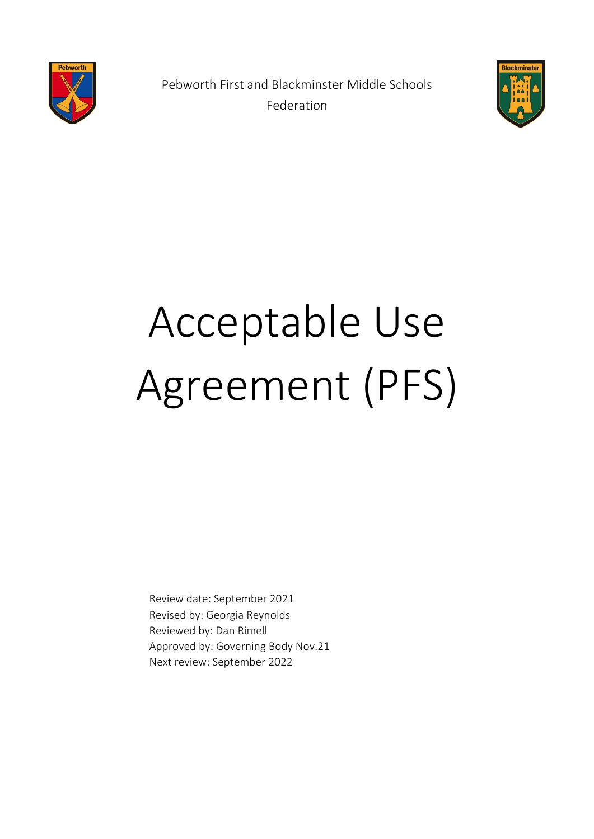

Pebworth First and Blackminster Middle Schools Federation



# Acceptable Use Agreement (PFS)

Review date: September 2021 Revised by: Georgia Reynolds Reviewed by: Dan Rimell Approved by: Governing Body Nov.21 Next review: September 2022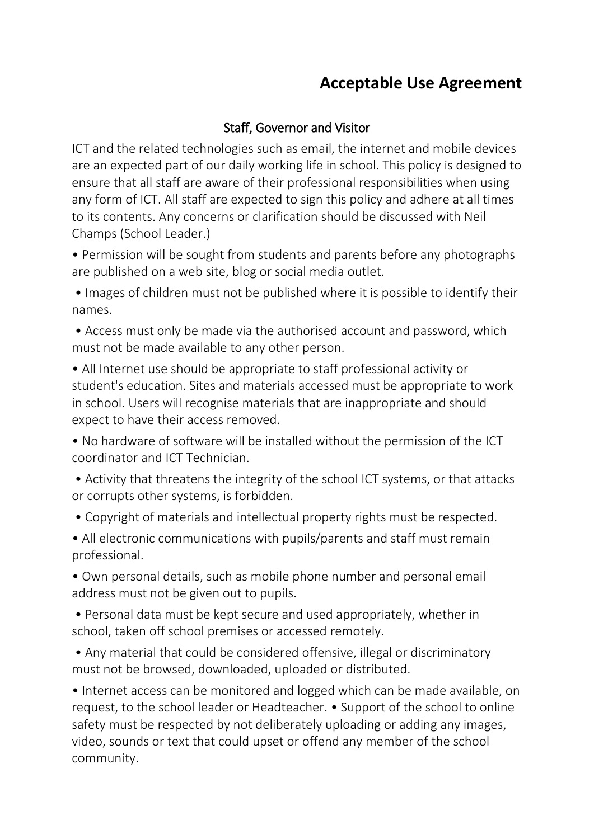#### Staff, Governor and Visitor

ICT and the related technologies such as email, the internet and mobile devices are an expected part of our daily working life in school. This policy is designed to ensure that all staff are aware of their professional responsibilities when using any form of ICT. All staff are expected to sign this policy and adhere at all times to its contents. Any concerns or clarification should be discussed with Neil Champs (School Leader.)

• Permission will be sought from students and parents before any photographs are published on a web site, blog or social media outlet.

• Images of children must not be published where it is possible to identify their names.

• Access must only be made via the authorised account and password, which must not be made available to any other person.

• All Internet use should be appropriate to staff professional activity or student's education. Sites and materials accessed must be appropriate to work in school. Users will recognise materials that are inappropriate and should expect to have their access removed.

• No hardware of software will be installed without the permission of the ICT coordinator and ICT Technician.

• Activity that threatens the integrity of the school ICT systems, or that attacks or corrupts other systems, is forbidden.

• Copyright of materials and intellectual property rights must be respected.

• All electronic communications with pupils/parents and staff must remain professional.

• Own personal details, such as mobile phone number and personal email address must not be given out to pupils.

• Personal data must be kept secure and used appropriately, whether in school, taken off school premises or accessed remotely.

• Any material that could be considered offensive, illegal or discriminatory must not be browsed, downloaded, uploaded or distributed.

• Internet access can be monitored and logged which can be made available, on request, to the school leader or Headteacher. • Support of the school to online safety must be respected by not deliberately uploading or adding any images, video, sounds or text that could upset or offend any member of the school community.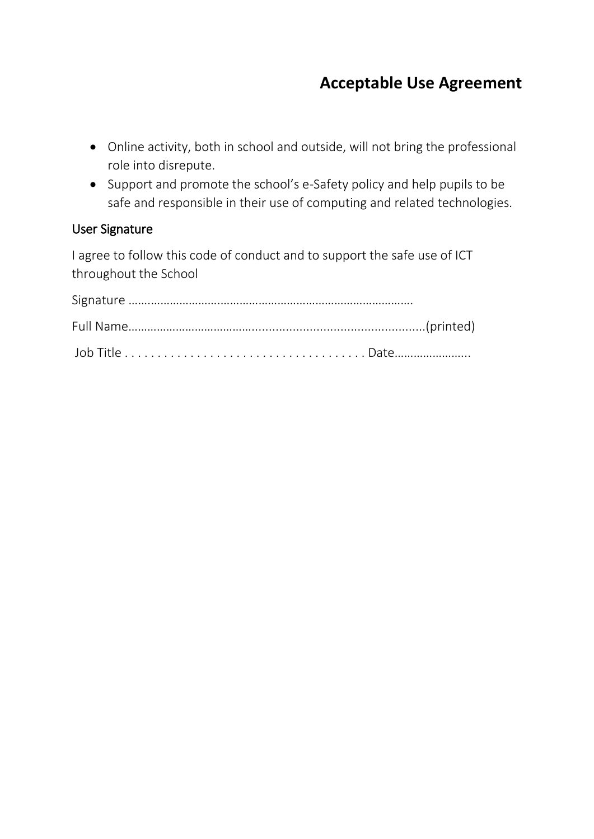- Online activity, both in school and outside, will not bring the professional role into disrepute.
- Support and promote the school's e-Safety policy and help pupils to be safe and responsible in their use of computing and related technologies.

#### User Signature

I agree to follow this code of conduct and to support the safe use of ICT throughout the School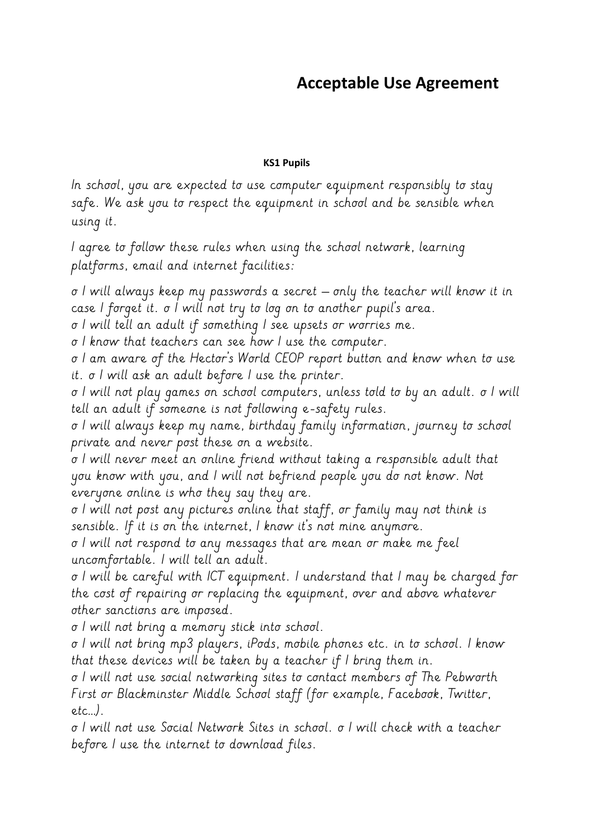#### **KS1 Pupils**

In school, you are expected to use computer equipment responsibly to stay safe. We ask you to respect the equipment in school and be sensible when using it.

I agree to follow these rules when using the school network, learning platforms, email and internet facilities:

o I will always keep my passwords a secret – only the teacher will know it in case I forget it. o I will not try to log on to another pupil's area.

o I will tell an adult if something I see upsets or worries me.

o I know that teachers can see how I use the computer.

o I am aware of the Hector's World CEOP report button and know when to use it. o I will ask an adult before I use the printer.

o I will not play games on school computers, unless told to by an adult. o I will tell an adult if someone is not following e-safety rules.

o I will always keep my name, birthday family information, journey to school private and never post these on a website.

o I will never meet an online friend without taking a responsible adult that you know with you, and I will not befriend people you do not know. Not everyone online is who they say they are.

o I will not post any pictures online that staff, or family may not think is sensible. If it is on the internet, I know it's not mine anymore.

o I will not respond to any messages that are mean or make me feel uncomfortable. I will tell an adult.

o I will be careful with ICT equipment. I understand that I may be charged for the cost of repairing or replacing the equipment, over and above whatever other sanctions are imposed.

o I will not bring a memory stick into school.

o I will not bring mp3 players, iPods, mobile phones etc. in to school. I know that these devices will be taken by a teacher if I bring them in.

o I will not use social networking sites to contact members of The Pebworth First or Blackminster Middle School staff (for example, Facebook, Twitter, etc…).

o I will not use Social Network Sites in school. o I will check with a teacher before I use the internet to download files.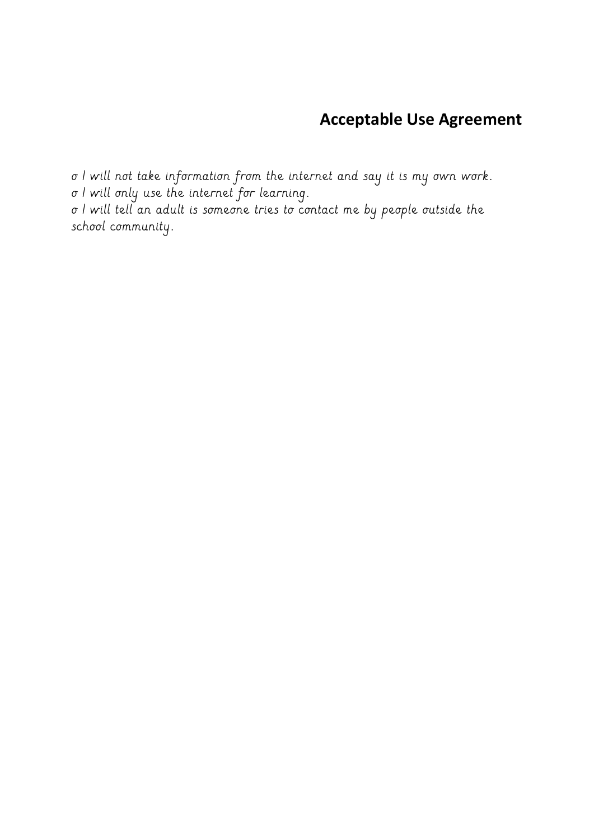o I will not take information from the internet and say it is my own work. o I will only use the internet for learning. o I will tell an adult is someone tries to contact me by people outside the school community.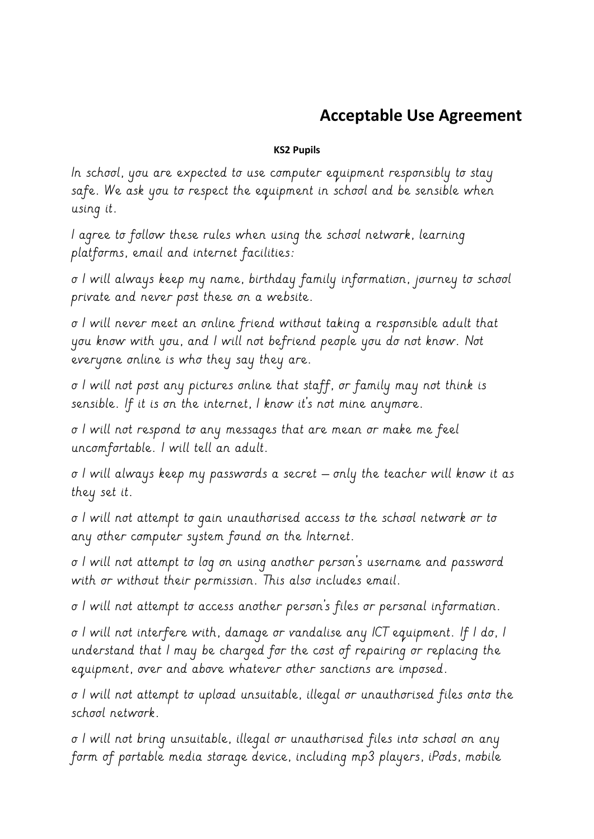#### **KS2 Pupils**

In school, you are expected to use computer equipment responsibly to stay safe. We ask you to respect the equipment in school and be sensible when using it.

I agree to follow these rules when using the school network, learning platforms, email and internet facilities:

o I will always keep my name, birthday family information, journey to school private and never post these on a website.

o I will never meet an online friend without taking a responsible adult that you know with you, and I will not befriend people you do not know. Not everyone online is who they say they are.

o I will not post any pictures online that staff, or family may not think is sensible. If it is on the internet, I know it's not mine anymore.

o I will not respond to any messages that are mean or make me feel uncomfortable. I will tell an adult.

o I will always keep my passwords a secret – only the teacher will know it as they set it.

o I will not attempt to gain unauthorised access to the school network or to any other computer system found on the Internet.

o I will not attempt to log on using another person's username and password with or without their permission. This also includes email.

o I will not attempt to access another person's files or personal information.

o I will not interfere with, damage or vandalise any ICT equipment. If I do, I understand that I may be charged for the cost of repairing or replacing the equipment, over and above whatever other sanctions are imposed.

o I will not attempt to upload unsuitable, illegal or unauthorised files onto the school network.

o I will not bring unsuitable, illegal or unauthorised files into school on any form of portable media storage device, including mp3 players, iPods, mobile